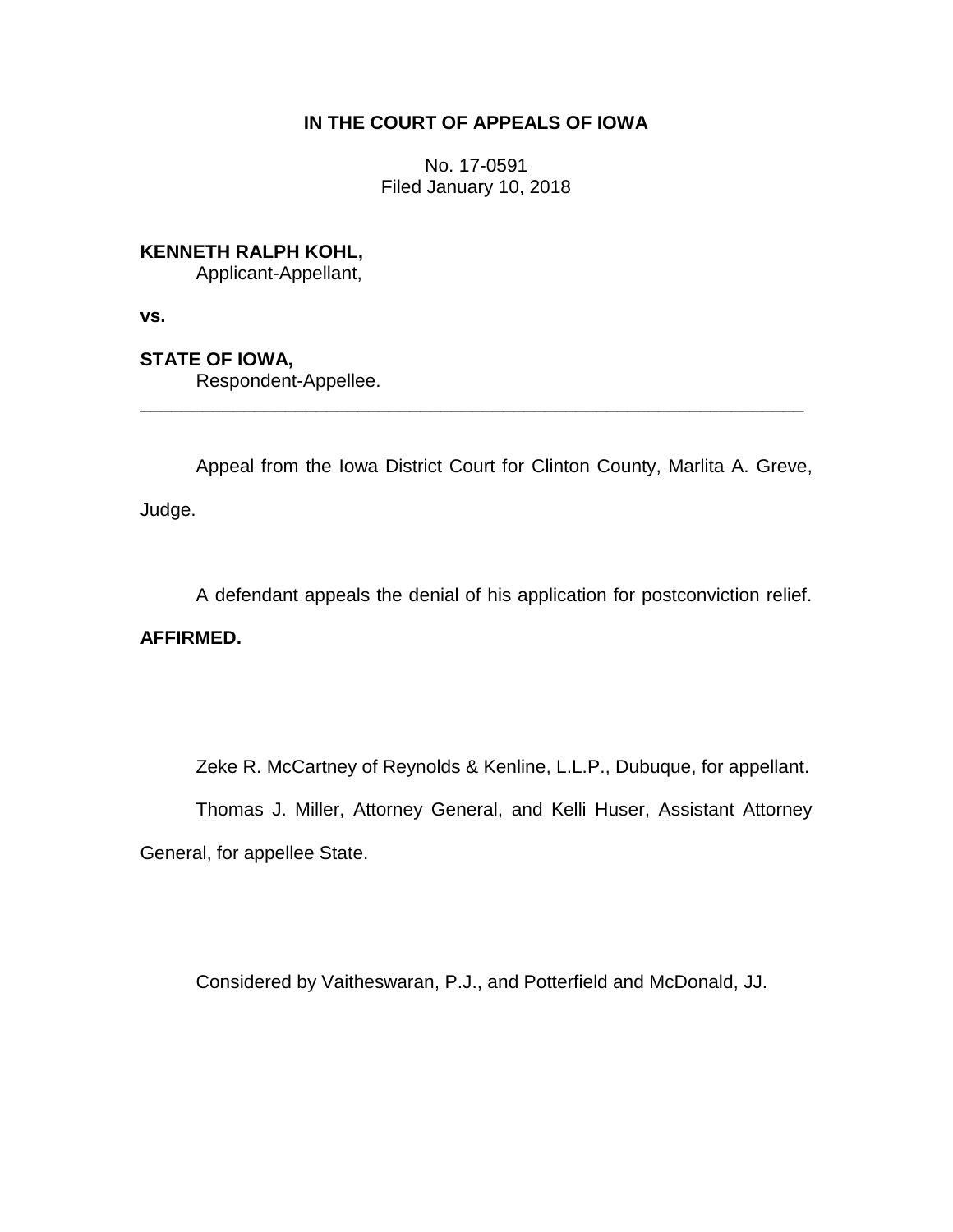# **IN THE COURT OF APPEALS OF IOWA**

No. 17-0591 Filed January 10, 2018

**KENNETH RALPH KOHL,**

Applicant-Appellant,

**vs.**

**STATE OF IOWA,**

Respondent-Appellee.

Appeal from the Iowa District Court for Clinton County, Marlita A. Greve, Judge.

\_\_\_\_\_\_\_\_\_\_\_\_\_\_\_\_\_\_\_\_\_\_\_\_\_\_\_\_\_\_\_\_\_\_\_\_\_\_\_\_\_\_\_\_\_\_\_\_\_\_\_\_\_\_\_\_\_\_\_\_\_\_\_\_

A defendant appeals the denial of his application for postconviction relief.

**AFFIRMED.**

Zeke R. McCartney of Reynolds & Kenline, L.L.P., Dubuque, for appellant.

Thomas J. Miller, Attorney General, and Kelli Huser, Assistant Attorney General, for appellee State.

Considered by Vaitheswaran, P.J., and Potterfield and McDonald, JJ.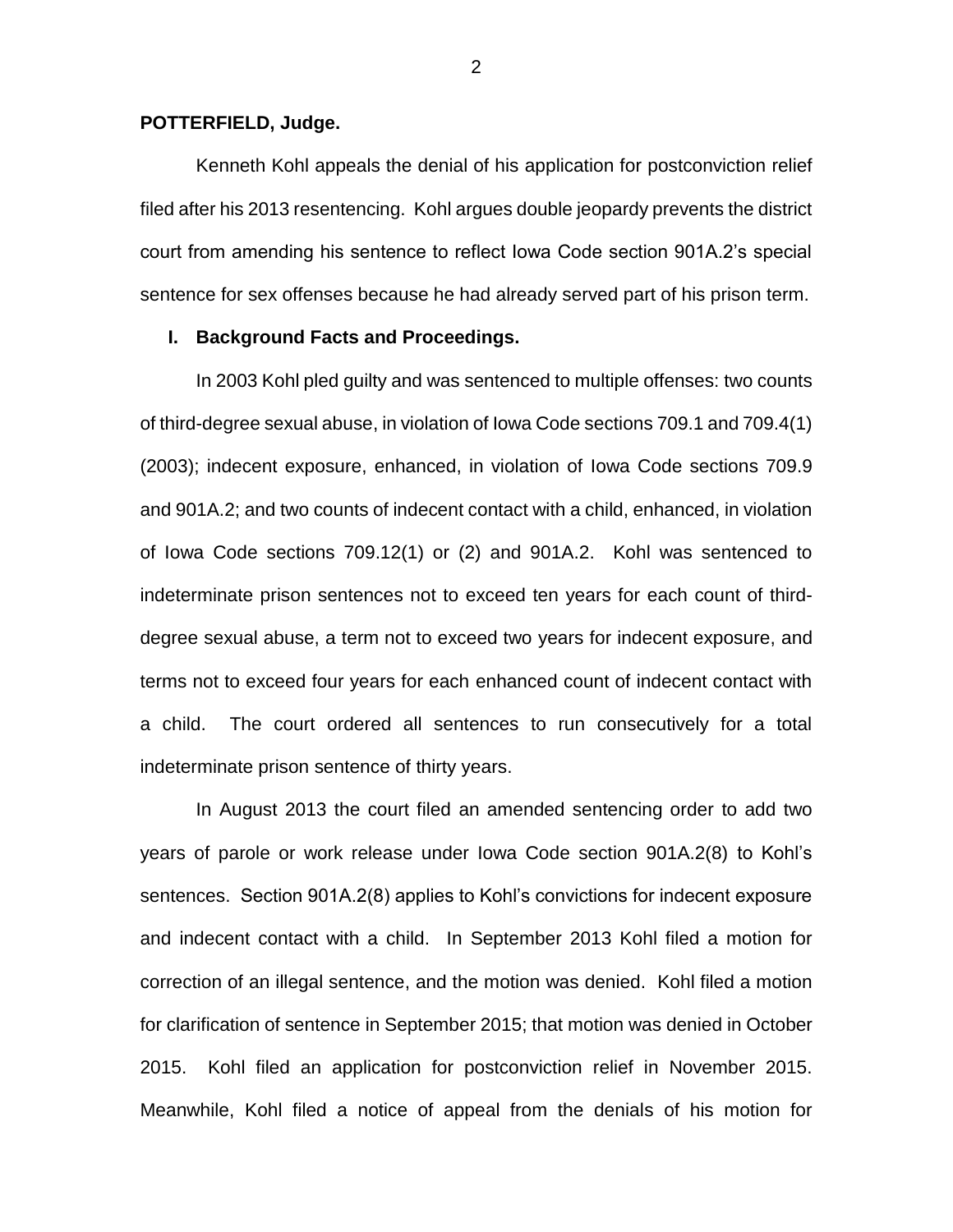## **POTTERFIELD, Judge.**

Kenneth Kohl appeals the denial of his application for postconviction relief filed after his 2013 resentencing. Kohl argues double jeopardy prevents the district court from amending his sentence to reflect Iowa Code section 901A.2's special sentence for sex offenses because he had already served part of his prison term.

## **I. Background Facts and Proceedings.**

In 2003 Kohl pled guilty and was sentenced to multiple offenses: two counts of third-degree sexual abuse, in violation of Iowa Code sections 709.1 and 709.4(1) (2003); indecent exposure, enhanced, in violation of Iowa Code sections 709.9 and 901A.2; and two counts of indecent contact with a child, enhanced, in violation of Iowa Code sections 709.12(1) or (2) and 901A.2. Kohl was sentenced to indeterminate prison sentences not to exceed ten years for each count of thirddegree sexual abuse, a term not to exceed two years for indecent exposure, and terms not to exceed four years for each enhanced count of indecent contact with a child. The court ordered all sentences to run consecutively for a total indeterminate prison sentence of thirty years.

In August 2013 the court filed an amended sentencing order to add two years of parole or work release under Iowa Code section 901A.2(8) to Kohl's sentences. Section 901A.2(8) applies to Kohl's convictions for indecent exposure and indecent contact with a child. In September 2013 Kohl filed a motion for correction of an illegal sentence, and the motion was denied. Kohl filed a motion for clarification of sentence in September 2015; that motion was denied in October 2015. Kohl filed an application for postconviction relief in November 2015. Meanwhile, Kohl filed a notice of appeal from the denials of his motion for

2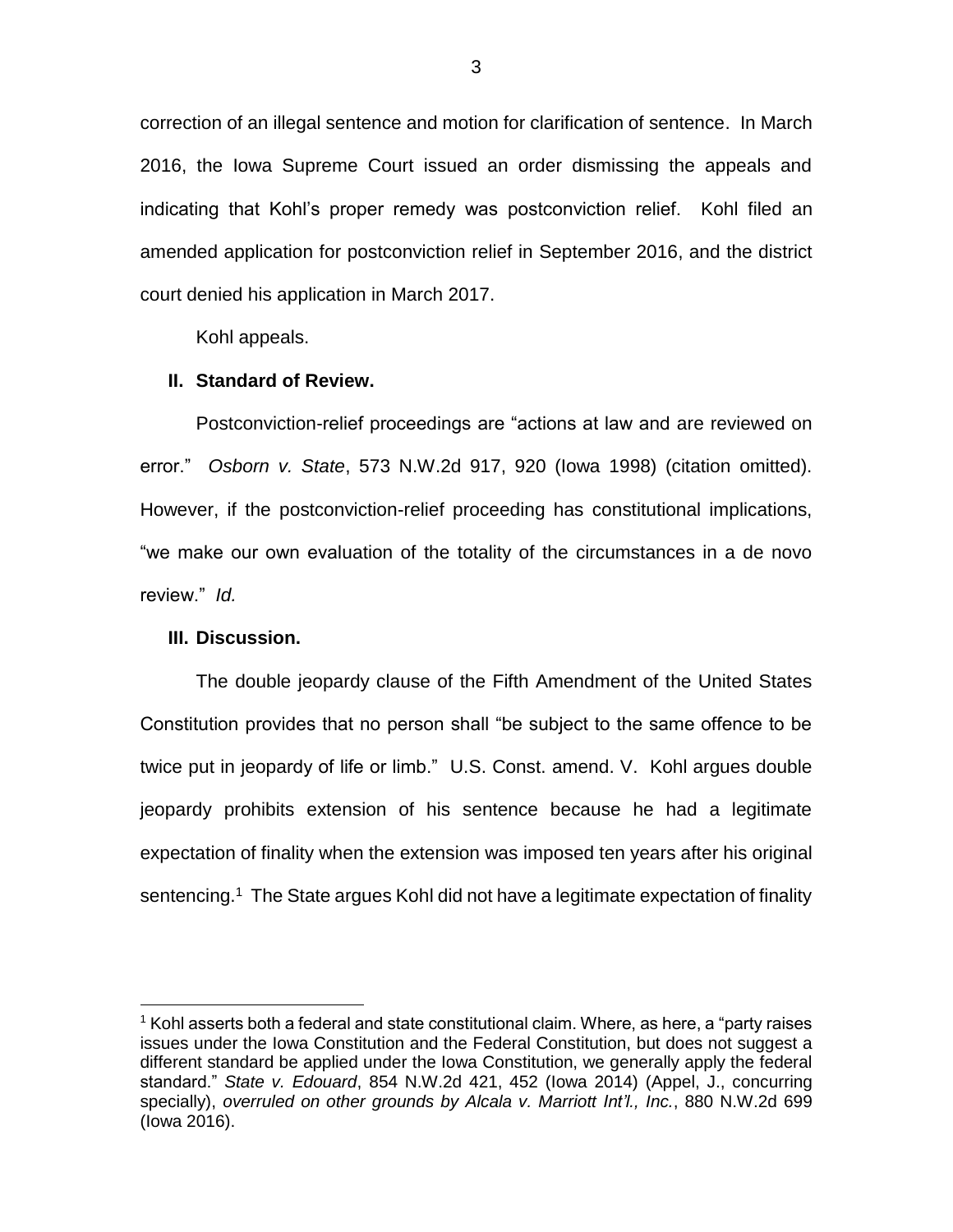correction of an illegal sentence and motion for clarification of sentence. In March 2016, the Iowa Supreme Court issued an order dismissing the appeals and indicating that Kohl's proper remedy was postconviction relief. Kohl filed an amended application for postconviction relief in September 2016, and the district court denied his application in March 2017.

Kohl appeals.

#### **II. Standard of Review.**

Postconviction-relief proceedings are "actions at law and are reviewed on error." *Osborn v. State*, 573 N.W.2d 917, 920 (Iowa 1998) (citation omitted). However, if the postconviction-relief proceeding has constitutional implications, "we make our own evaluation of the totality of the circumstances in a de novo review." *Id.* 

### **III. Discussion.**

 $\overline{a}$ 

The double jeopardy clause of the Fifth Amendment of the United States Constitution provides that no person shall "be subject to the same offence to be twice put in jeopardy of life or limb." U.S. Const. amend. V. Kohl argues double jeopardy prohibits extension of his sentence because he had a legitimate expectation of finality when the extension was imposed ten years after his original sentencing.<sup>1</sup> The State argues Kohl did not have a legitimate expectation of finality

 $1$  Kohl asserts both a federal and state constitutional claim. Where, as here, a "party raises issues under the Iowa Constitution and the Federal Constitution, but does not suggest a different standard be applied under the Iowa Constitution, we generally apply the federal standard." *State v. Edouard*, 854 N.W.2d 421, 452 (Iowa 2014) (Appel, J., concurring specially), *overruled on other grounds by Alcala v. Marriott Int'l., Inc.*, 880 N.W.2d 699 (Iowa 2016).